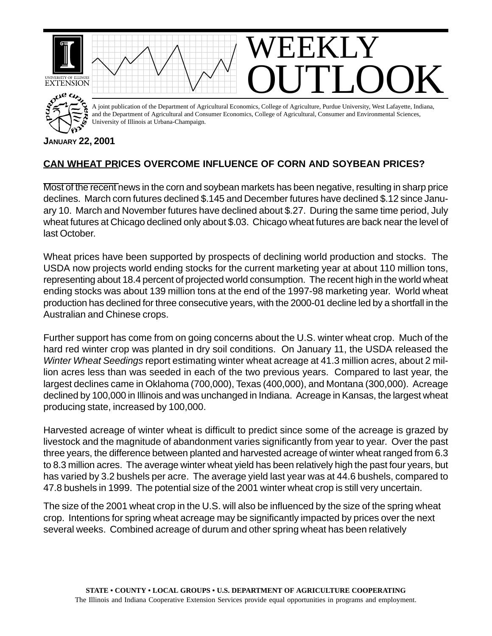

## **JANUARY 22, 2001**

## **CAN WHEAT PRICES OVERCOME INFLUENCE OF CORN AND SOYBEAN PRICES?**

Most of the recent news in the corn and soybean markets has been negative, resulting in sharp price declines. March corn futures declined \$.145 and December futures have declined \$.12 since January 10. March and November futures have declined about \$.27. During the same time period, July wheat futures at Chicago declined only about \$.03. Chicago wheat futures are back near the level of last October.

Wheat prices have been supported by prospects of declining world production and stocks. The USDA now projects world ending stocks for the current marketing year at about 110 million tons, representing about 18.4 percent of projected world consumption. The recent high in the world wheat ending stocks was about 139 million tons at the end of the 1997-98 marketing year. World wheat production has declined for three consecutive years, with the 2000-01 decline led by a shortfall in the Australian and Chinese crops.

Further support has come from on going concerns about the U.S. winter wheat crop. Much of the hard red winter crop was planted in dry soil conditions. On January 11, the USDA released the *Winter Wheat Seedings* report estimating winter wheat acreage at 41.3 million acres, about 2 million acres less than was seeded in each of the two previous years. Compared to last year, the largest declines came in Oklahoma (700,000), Texas (400,000), and Montana (300,000). Acreage declined by 100,000 in Illinois and was unchanged in Indiana. Acreage in Kansas, the largest wheat producing state, increased by 100,000.

Harvested acreage of winter wheat is difficult to predict since some of the acreage is grazed by livestock and the magnitude of abandonment varies significantly from year to year. Over the past three years, the difference between planted and harvested acreage of winter wheat ranged from 6.3 to 8.3 million acres. The average winter wheat yield has been relatively high the past four years, but has varied by 3.2 bushels per acre. The average yield last year was at 44.6 bushels, compared to 47.8 bushels in 1999. The potential size of the 2001 winter wheat crop is still very uncertain.

The size of the 2001 wheat crop in the U.S. will also be influenced by the size of the spring wheat crop. Intentions for spring wheat acreage may be significantly impacted by prices over the next several weeks. Combined acreage of durum and other spring wheat has been relatively